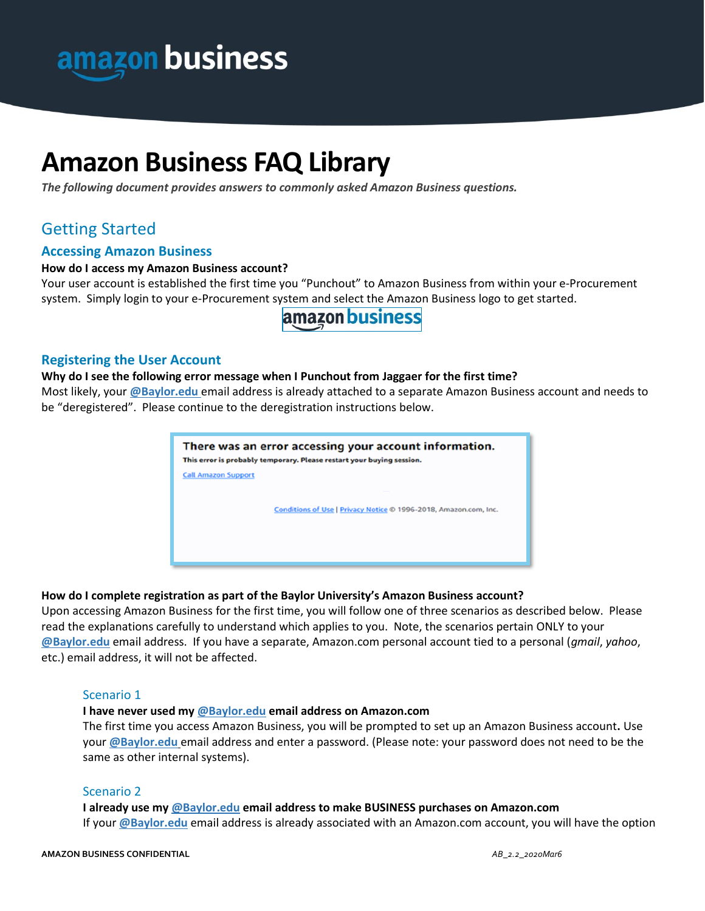

# **Amazon Business FAQ Library**

*The following document provides answers to commonly asked Amazon Business questions.* 

# Getting Started

# **Accessing Amazon Business**

### **How do I access my Amazon Business account?**

Your user account is established the first time you "Punchout" to Amazon Business from within your e-Procurement system. Simply login to your e-Procurement system and select the Amazon Business logo to get started.

# amazon business

# **Registering the User Account**

### **Why do I see the following error message when I Punchout from Jaggaer for the first time?**

Most likely, your **@Baylor.edu** email address is already attached to a separate Amazon Business account and needs to be "deregistered". Please continue to the deregistration instructions below.



# **How do I complete registration as part of the Baylor University's Amazon Business account?**

Upon accessing Amazon Business for the first time, you will follow one of three scenarios as described below. Please read the explanations carefully to understand which applies to you. Note, the scenarios pertain ONLY to your **@Baylor.edu** email address. If you have a separate, Amazon.com personal account tied to a personal (*gmail*, *yahoo*, etc.) email address, it will not be affected.

# Scenario 1

### **I have never used my @Baylor.edu email address on Amazon.com**

The first time you access Amazon Business, you will be prompted to set up an Amazon Business account**.** Use your **@Baylor.edu** email address and enter a password. (Please note: your password does not need to be the same as other internal systems).

### Scenario 2

### **I already use my @Baylor.edu email address to make BUSINESS purchases on Amazon.com**

If your **@Baylor.edu** email address is already associated with an Amazon.com account, you will have the option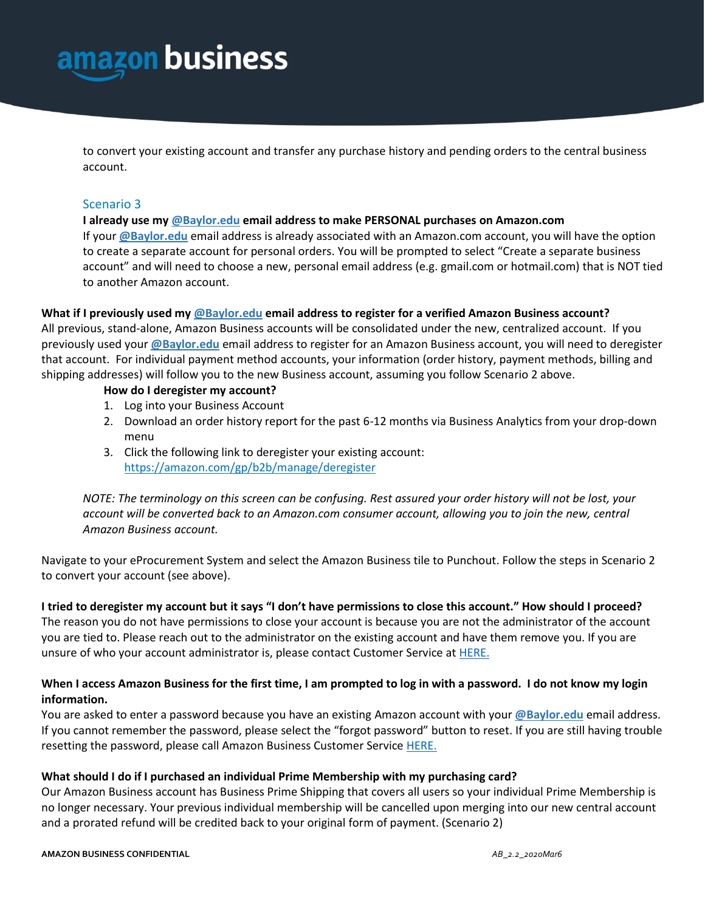

to convert your existing account and transfer any purchase history and pending orders to the central business account.

### Scenario 3

### **I already use my @Baylor.edu email address to make PERSONAL purchases on Amazon.com**

If your **@Baylor.edu** email address is already associated with an Amazon.com account, you will have the option to create a separate account for personal orders. You will be prompted to select "Create a separate business account" and will need to choose a new, personal email address (e.g. gmail.com or hotmail.com) that is NOT tied to another Amazon account.

### **What if I previously used my @Baylor.edu email address to register for a verified Amazon Business account?**

All previous, stand-alone, Amazon Business accounts will be consolidated under the new, centralized account. If you previously used your **@Baylor.edu** email address to register for an Amazon Business account, you will need to deregister that account. For individual payment method accounts, your information (order history, payment methods, billing and shipping addresses) will follow you to the new Business account, assuming you follow Scenario 2 above.

### **How do I deregister my account?**

- 1. Log into your Business Account
- 2. Download an order history report for the past 6-12 months via Business Analytics from your drop-down menu
- 3. Click the following link to deregister your existing account: <https://amazon.com/gp/b2b/manage/deregister>

*NOTE: The terminology on this screen can be confusing. Rest assured your order history will not be lost, your account will be converted back to an Amazon.com consumer account, allowing you to join the new, central Amazon Business account.*

Navigate to your eProcurement System and select the Amazon Business tile to Punchout. Follow the steps in Scenario 2 to convert your account (see above).

# **I tried to deregister my account but it says "I don't have permissions to close this account." How should I proceed?**

The reason you do not have permissions to close your account is because you are not the administrator of the account you are tied to. Please reach out to the administrator on the existing account and have them remove you. If you are unsure of who your account administrator is, please contact Customer Service at [HERE.](https://www.amazon.com/gp/help/customer/contact-us)

# **When I access Amazon Business for the first time, I am prompted to log in with a password. I do not know my login information.**

You are asked to enter a password because you have an existing Amazon account with your **@Baylor.edu** email address. If you cannot remember the password, please select the "forgot password" button to reset. If you are still having trouble resetting the password, please call Amazon Business Customer Service [HERE.](https://www.amazon.com/gp/help/customer/contact-us)

# **What should I do if I purchased an individual Prime Membership with my purchasing card?**

Our Amazon Business account has Business Prime Shipping that covers all users so your individual Prime Membership is no longer necessary. Your previous individual membership will be cancelled upon merging into our new central account and a prorated refund will be credited back to your original form of payment. (Scenario 2)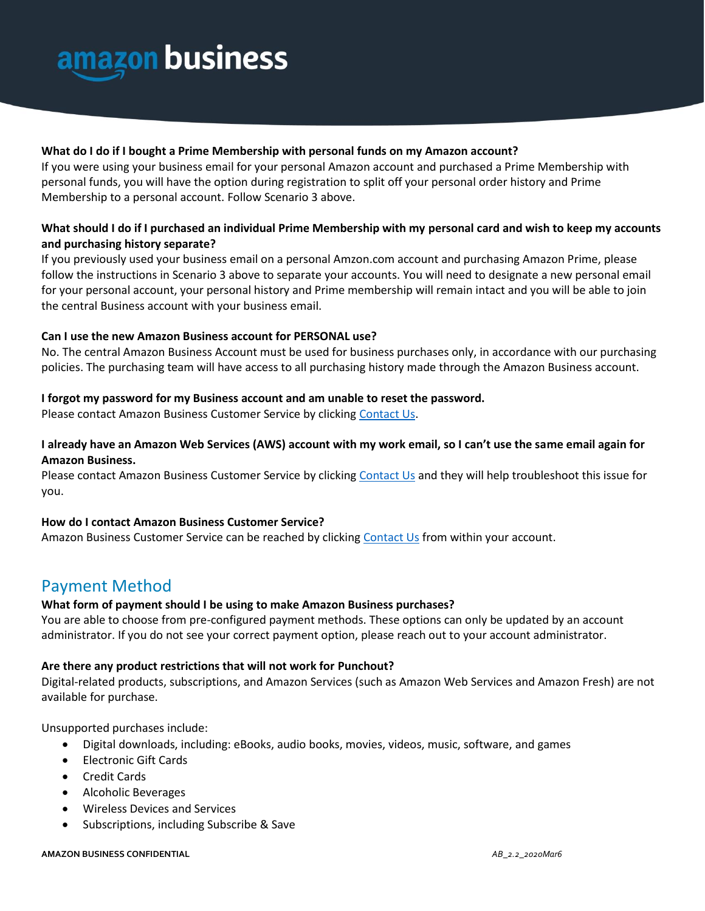

### **What do I do if I bought a Prime Membership with personal funds on my Amazon account?**

If you were using your business email for your personal Amazon account and purchased a Prime Membership with personal funds, you will have the option during registration to split off your personal order history and Prime Membership to a personal account. Follow Scenario 3 above.

# **What should I do if I purchased an individual Prime Membership with my personal card and wish to keep my accounts and purchasing history separate?**

If you previously used your business email on a personal Amzon.com account and purchasing Amazon Prime, please follow the instructions in Scenario 3 above to separate your accounts. You will need to designate a new personal email for your personal account, your personal history and Prime membership will remain intact and you will be able to join the central Business account with your business email.

### **Can I use the new Amazon Business account for PERSONAL use?**

No. The central Amazon Business Account must be used for business purchases only, in accordance with our purchasing policies. The purchasing team will have access to all purchasing history made through the Amazon Business account.

### **I forgot my password for my Business account and am unable to reset the password.**

Please contact Amazon Business Customer Service by clicking [Contact Us.](https://www.amazon.com/gp/help/customer/contact-us?ie=UTF8&ref=bfooter_cu)

# **I already have an Amazon Web Services (AWS) account with my work email, so I can't use the same email again for Amazon Business.**

Please contact Amazon Business Customer Service by clicking [Contact Us](https://www.amazon.com/gp/help/customer/contact-us?ie=UTF8&ref=bfooter_cu) and they will help troubleshoot this issue for you.

### **How do I contact Amazon Business Customer Service?**

Amazon Business Customer Service can be reached by clickin[g Contact Us](https://www.amazon.com/gp/help/customer/contact-us?ie=UTF8&ref=bfooter_cu) from within your account.

# Payment Method

# **What form of payment should I be using to make Amazon Business purchases?**

You are able to choose from pre-configured payment methods. These options can only be updated by an account administrator. If you do not see your correct payment option, please reach out to your account administrator.

### **Are there any product restrictions that will not work for Punchout?**

Digital-related products, subscriptions, and Amazon Services (such as Amazon Web Services and Amazon Fresh) are not available for purchase.

Unsupported purchases include:

- Digital downloads, including: eBooks, audio books, movies, videos, music, software, and games
- Electronic Gift Cards
- Credit Cards
- Alcoholic Beverages
- Wireless Devices and Services
- Subscriptions, including Subscribe & Save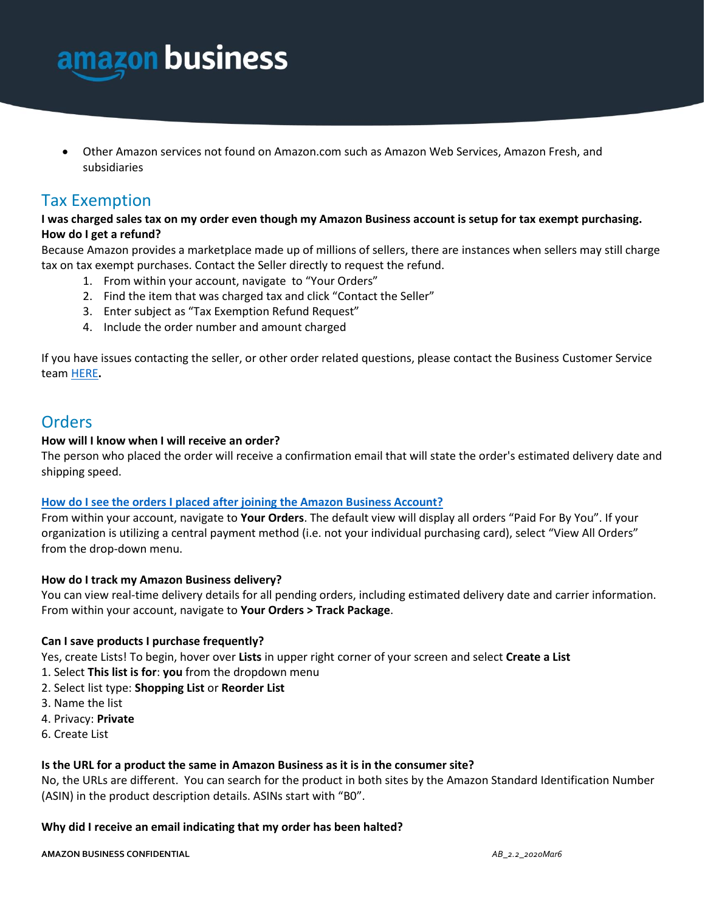

• Other Amazon services not found on Amazon.com such as Amazon Web Services, Amazon Fresh, and subsidiaries

# Tax Exemption

# **I was charged sales tax on my order even though my Amazon Business account is setup for tax exempt purchasing. How do I get a refund?**

Because Amazon provides a marketplace made up of millions of sellers, there are instances when sellers may still charge tax on tax exempt purchases. Contact the Seller directly to request the refund.

- 1. From within your account, navigate to "Your Orders"
- 2. Find the item that was charged tax and click "Contact the Seller"
- 3. Enter subject as "Tax Exemption Refund Request"
- 4. Include the order number and amount charged

If you have issues contacting the seller, or other order related questions, please contact the Business Customer Service tea[m HERE](https://www.amazon.com/gp/help/contact-us/b2b-help.html)**.** 

# **Orders**

# **How will I know when I will receive an order?**

The person who placed the order will receive a confirmation email that will state the order's estimated delivery date and shipping speed.

# **How do I see the orders I placed after joining the Amazon Business Account?**

From within your account, navigate to **Your Orders**. The default view will display all orders "Paid For By You". If your organization is utilizing a central payment method (i.e. not your individual purchasing card), select "View All Orders" from the drop-down menu.

# **How do I track my Amazon Business delivery?**

You can view real-time delivery details for all pending orders, including estimated delivery date and carrier information. From within your account, navigate to **Your Orders > Track Package**.

# **Can I save products I purchase frequently?**

Yes, create Lists! To begin, hover over **Lists** in upper right corner of your screen and select **Create a List**

- 1. Select **This list is for**: **you** from the dropdown menu
- 2. Select list type: **Shopping List** or **Reorder List**
- 3. Name the list
- 4. Privacy: **Private**
- 6. Create List

### **Is the URL for a product the same in Amazon Business as it is in the consumer site?**

No, the URLs are different. You can search for the product in both sites by the Amazon Standard Identification Number (ASIN) in the product description details. ASINs start with "B0".

### **Why did I receive an email indicating that my order has been halted?**

**AMAZON BUSINESS CONFIDENTIAL** *AB\_2.2\_2020Mar6*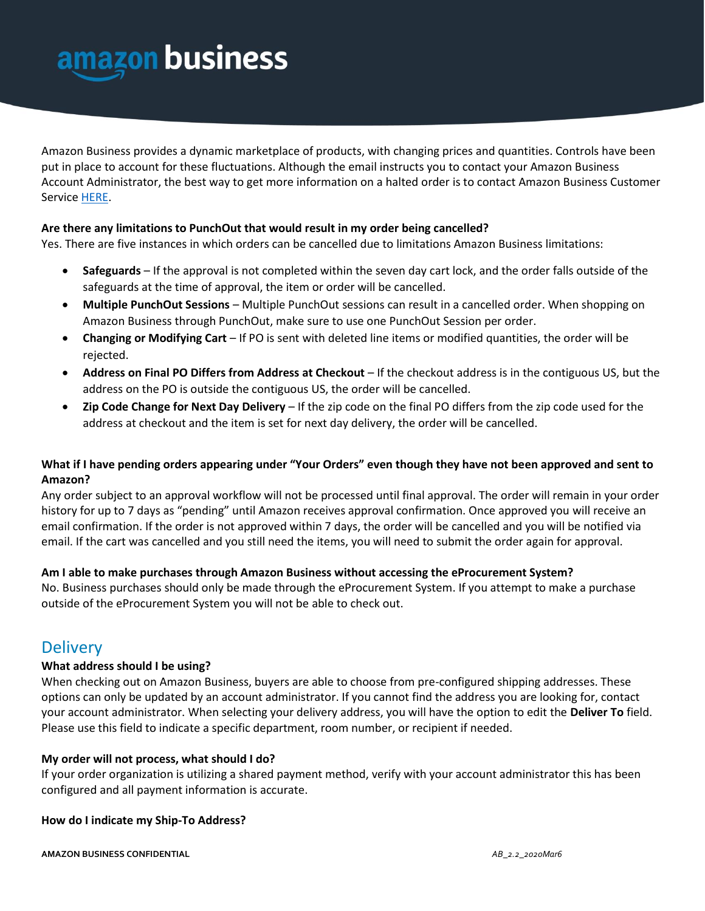

Amazon Business provides a dynamic marketplace of products, with changing prices and quantities. Controls have been put in place to account for these fluctuations. Although the email instructs you to contact your Amazon Business Account Administrator, the best way to get more information on a halted order is to contact Amazon Business Customer Servic[e HERE.](https://www.amazon.com/gp/help/customer/contact-us)

### **Are there any limitations to PunchOut that would result in my order being cancelled?**

Yes. There are five instances in which orders can be cancelled due to limitations Amazon Business limitations:

- **Safeguards** If the approval is not completed within the seven day cart lock, and the order falls outside of the safeguards at the time of approval, the item or order will be cancelled.
- **Multiple PunchOut Sessions** Multiple PunchOut sessions can result in a cancelled order. When shopping on Amazon Business through PunchOut, make sure to use one PunchOut Session per order.
- **Changing or Modifying Cart** If PO is sent with deleted line items or modified quantities, the order will be rejected.
- **Address on Final PO Differs from Address at Checkout** If the checkout address is in the contiguous US, but the address on the PO is outside the contiguous US, the order will be cancelled.
- **Zip Code Change for Next Day Delivery** If the zip code on the final PO differs from the zip code used for the address at checkout and the item is set for next day delivery, the order will be cancelled.

# **What if I have pending orders appearing under "Your Orders" even though they have not been approved and sent to Amazon?**

Any order subject to an approval workflow will not be processed until final approval. The order will remain in your order history for up to 7 days as "pending" until Amazon receives approval confirmation. Once approved you will receive an email confirmation. If the order is not approved within 7 days, the order will be cancelled and you will be notified via email. If the cart was cancelled and you still need the items, you will need to submit the order again for approval.

### **Am I able to make purchases through Amazon Business without accessing the eProcurement System?**

No. Business purchases should only be made through the eProcurement System. If you attempt to make a purchase outside of the eProcurement System you will not be able to check out.

# **Delivery**

### **What address should I be using?**

When checking out on Amazon Business, buyers are able to choose from pre-configured shipping addresses. These options can only be updated by an account administrator. If you cannot find the address you are looking for, contact your account administrator. When selecting your delivery address, you will have the option to edit the **Deliver To** field. Please use this field to indicate a specific department, room number, or recipient if needed.

### **My order will not process, what should I do?**

If your order organization is utilizing a shared payment method, verify with your account administrator this has been configured and all payment information is accurate.

### **How do I indicate my Ship-To Address?**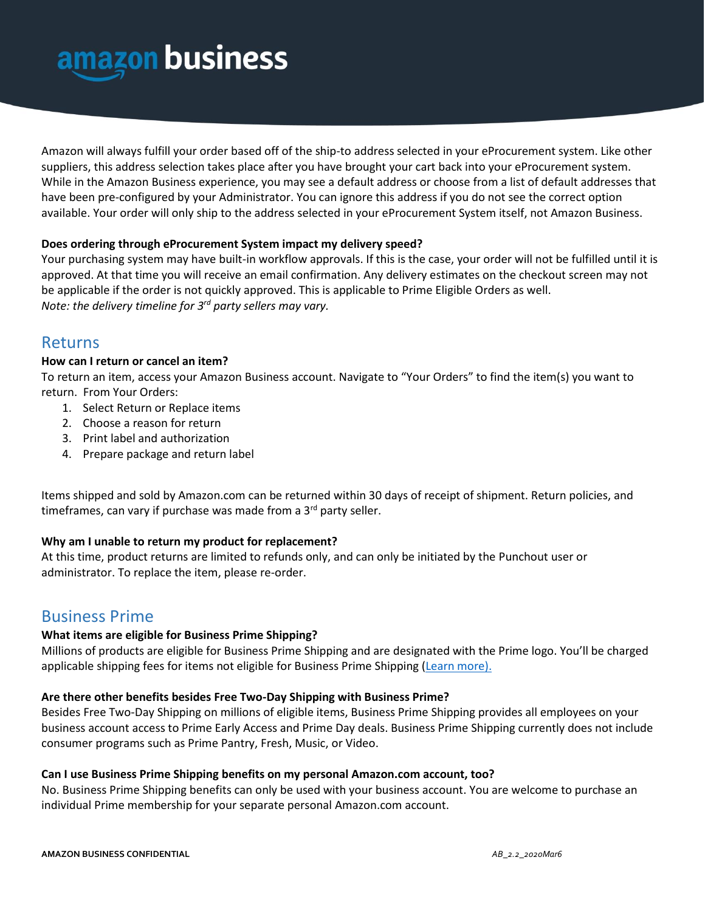

Amazon will always fulfill your order based off of the ship-to address selected in your eProcurement system. Like other suppliers, this address selection takes place after you have brought your cart back into your eProcurement system. While in the Amazon Business experience, you may see a default address or choose from a list of default addresses that have been pre-configured by your Administrator. You can ignore this address if you do not see the correct option available. Your order will only ship to the address selected in your eProcurement System itself, not Amazon Business.

### **Does ordering through eProcurement System impact my delivery speed?**

Your purchasing system may have built-in workflow approvals. If this is the case, your order will not be fulfilled until it is approved. At that time you will receive an email confirmation. Any delivery estimates on the checkout screen may not be applicable if the order is not quickly approved. This is applicable to Prime Eligible Orders as well. *Note: the delivery timeline for 3rd party sellers may vary.*

# Returns

### **How can I return or cancel an item?**

To return an item, access your Amazon Business account. Navigate to "Your Orders" to find the item(s) you want to return. From Your Orders:

- 1. Select Return or Replace items
- 2. Choose a reason for return
- 3. Print label and authorization
- 4. Prepare package and return label

Items shipped and sold by Amazon.com can be returned within 30 days of receipt of shipment. Return policies, and timeframes, can vary if purchase was made from a  $3<sup>rd</sup>$  party seller.

### **Why am I unable to return my product for replacement?**

At this time, product returns are limited to refunds only, and can only be initiated by the Punchout user or administrator. To replace the item, please re-order.

# Business Prime

### **What items are eligible for Business Prime Shipping?**

Millions of products are eligible for Business Prime Shipping and are designated with the Prime logo. You'll be charged applicable shipping fees for items not eligible for Business Prime Shipping [\(Learn more\)](https://www.amazon.com/gp/help/customer/display.html?nodeId=202195950&language=en_US).

### **Are there other benefits besides Free Two-Day Shipping with Business Prime?**

Besides Free Two-Day Shipping on millions of eligible items, Business Prime Shipping provides all employees on your business account access to Prime Early Access and Prime Day deals. Business Prime Shipping currently does not include consumer programs such as Prime Pantry, Fresh, Music, or Video.

### **Can I use Business Prime Shipping benefits on my personal Amazon.com account, too?**

No. Business Prime Shipping benefits can only be used with your business account. You are welcome to purchase an individual Prime membership for your separate personal Amazon.com account.